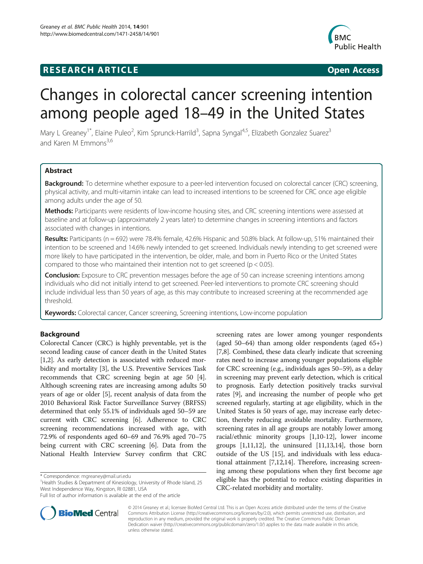## **RESEARCH ARTICLE Example 2018 12:00 Department of the CONNECTION CONNECTION CONNECTION CONNECTION**



# Changes in colorectal cancer screening intention among people aged 18–49 in the United States

Mary L Greaney<sup>1\*</sup>, Elaine Puleo<sup>2</sup>, Kim Sprunck-Harrild<sup>3</sup>, Sapna Syngal<sup>4,5</sup>, Elizabeth Gonzalez Suarez<sup>3</sup> and Karen M  $Fmmons<sup>3,6</sup>$ 

## **Abstract**

Background: To determine whether exposure to a peer-led intervention focused on colorectal cancer (CRC) screening, physical activity, and multi-vitamin intake can lead to increased intentions to be screened for CRC once age eligible among adults under the age of 50.

Methods: Participants were residents of low-income housing sites, and CRC screening intentions were assessed at baseline and at follow-up (approximately 2 years later) to determine changes in screening intentions and factors associated with changes in intentions.

Results: Participants ( $n = 692$ ) were 78.4% female, 42.6% Hispanic and 50.8% black. At follow-up, 51% maintained their intention to be screened and 14.6% newly intended to get screened. Individuals newly intending to get screened were more likely to have participated in the intervention, be older, male, and born in Puerto Rico or the United States compared to those who maintained their intention not to get screened ( $p < 0.05$ ).

Conclusion: Exposure to CRC prevention messages before the age of 50 can increase screening intentions among individuals who did not initially intend to get screened. Peer-led interventions to promote CRC screening should include individual less than 50 years of age, as this may contribute to increased screening at the recommended age threshold.

Keywords: Colorectal cancer, Cancer screening, Screening intentions, Low-income population

## Background

Colorectal Cancer (CRC) is highly preventable, yet is the second leading cause of cancer death in the United States [[1,2](#page-7-0)]. As early detection is associated with reduced morbidity and mortality [\[3](#page-7-0)], the U.S. Preventive Services Task recommends that CRC screening begin at age 50 [[4](#page-7-0)]. Although screening rates are increasing among adults 50 years of age or older [\[5](#page-7-0)], recent analysis of data from the 2010 Behavioral Risk Factor Surveillance Survey (BRFSS) determined that only 55.1% of individuals aged 50–59 are current with CRC screening [\[6](#page-7-0)]. Adherence to CRC screening recommendations increased with age, with 72.9% of respondents aged 60–69 and 76.9% aged 70–75 being current with CRC screening [\[6\]](#page-7-0). Data from the National Health Interview Survey confirm that CRC

<sup>1</sup>Health Studies & Department of Kinesiology, University of Rhode Island, 25 West Independence Way, Kingston, RI 02881, USA





© 2014 Greaney et al.; licensee BioMed Central Ltd. This is an Open Access article distributed under the terms of the Creative Commons Attribution License [\(http://creativecommons.org/licenses/by/2.0\)](http://creativecommons.org/licenses/by/2.0), which permits unrestricted use, distribution, and reproduction in any medium, provided the original work is properly credited. The Creative Commons Public Domain Dedication waiver [\(http://creativecommons.org/publicdomain/zero/1.0/](http://creativecommons.org/publicdomain/zero/1.0/)) applies to the data made available in this article, unless otherwise stated.

<sup>\*</sup> Correspondence: [mgreaney@mail.uri.edu](mailto:mgreaney@mail.uri.edu) <sup>1</sup>

Full list of author information is available at the end of the article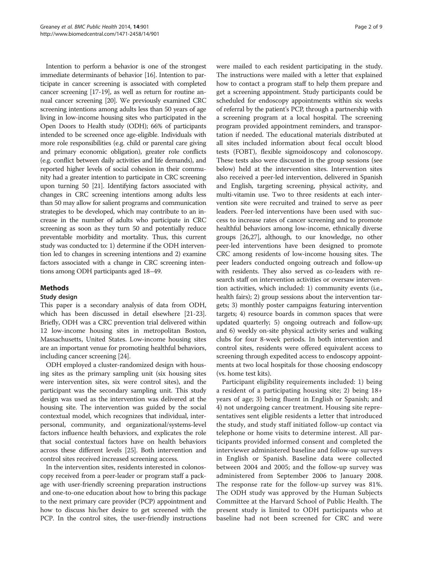Intention to perform a behavior is one of the strongest immediate determinants of behavior [[16](#page-8-0)]. Intention to participate in cancer screening is associated with completed cancer screening [[17-19\]](#page-8-0), as well as return for routine annual cancer screening [[20](#page-8-0)]. We previously examined CRC screening intentions among adults less than 50 years of age living in low-income housing sites who participated in the Open Doors to Health study (ODH); 66% of participants intended to be screened once age-eligible. Individuals with more role responsibilities (e.g. child or parental care giving and primary economic obligation), greater role conflicts (e.g. conflict between daily activities and life demands), and reported higher levels of social cohesion in their community had a greater intention to participate in CRC screening upon turning 50 [\[21\]](#page-8-0). Identifying factors associated with changes in CRC screening intentions among adults less than 50 may allow for salient programs and communication strategies to be developed, which may contribute to an increase in the number of adults who participate in CRC screening as soon as they turn 50 and potentially reduce preventable morbidity and mortality. Thus, this current study was conducted to: 1) determine if the ODH intervention led to changes in screening intentions and 2) examine factors associated with a change in CRC screening intentions among ODH participants aged 18–49.

## Methods

## Study design

This paper is a secondary analysis of data from ODH, which has been discussed in detail elsewhere [[21](#page-8-0)-[23](#page-8-0)]. Briefly, ODH was a CRC prevention trial delivered within 12 low-income housing sites in metropolitan Boston, Massachusetts, United States. Low-income housing sites are an important venue for promoting healthful behaviors, including cancer screening [\[24\]](#page-8-0).

ODH employed a cluster-randomized design with housing sites as the primary sampling unit (six housing sites were intervention sites, six were control sites), and the participant was the secondary sampling unit. This study design was used as the intervention was delivered at the housing site. The intervention was guided by the social contextual model, which recognizes that individual, interpersonal, community, and organizational/systems-level factors influence health behaviors, and explicates the role that social contextual factors have on health behaviors across these different levels [\[25\]](#page-8-0). Both intervention and control sites received increased screening access.

In the intervention sites, residents interested in colonoscopy received from a peer-leader or program staff a package with user-friendly screening preparation instructions and one-to-one education about how to bring this package to the next primary care provider (PCP) appointment and how to discuss his/her desire to get screened with the PCP. In the control sites, the user-friendly instructions

were mailed to each resident participating in the study. The instructions were mailed with a letter that explained how to contact a program staff to help them prepare and get a screening appointment. Study participants could be scheduled for endoscopy appointments within six weeks of referral by the patient's PCP, through a partnership with a screening program at a local hospital. The screening program provided appointment reminders, and transportation if needed. The educational materials distributed at all sites included information about fecal occult blood tests (FOBT), flexible sigmoidoscopy and colonoscopy. These tests also were discussed in the group sessions (see below) held at the intervention sites. Intervention sites also received a peer-led intervention, delivered in Spanish and English, targeting screening, physical activity, and multi-vitamin use. Two to three residents at each intervention site were recruited and trained to serve as peer leaders. Peer-led interventions have been used with success to increase rates of cancer screening and to promote healthful behaviors among low-income, ethnically diverse groups [\[26,27](#page-8-0)], although, to our knowledge, no other peer-led interventions have been designed to promote CRC among residents of low-income housing sites. The peer leaders conducted ongoing outreach and follow-up with residents. They also served as co-leaders with research staff on intervention activities or oversaw intervention activities, which included: 1) community events (i.e., health fairs); 2) group sessions about the intervention targets; 3) monthly poster campaigns featuring intervention targets; 4) resource boards in common spaces that were updated quarterly; 5) ongoing outreach and follow-up; and 6) weekly on-site physical activity series and walking clubs for four 8-week periods. In both intervention and control sites, residents were offered equivalent access to screening through expedited access to endoscopy appointments at two local hospitals for those choosing endoscopy (vs. home test kits).

Participant eligibility requirements included: 1) being a resident of a participating housing site; 2) being 18+ years of age; 3) being fluent in English or Spanish; and 4) not undergoing cancer treatment. Housing site representatives sent eligible residents a letter that introduced the study, and study staff initiated follow-up contact via telephone or home visits to determine interest. All participants provided informed consent and completed the interviewer administered baseline and follow-up surveys in English or Spanish. Baseline data were collected between 2004 and 2005; and the follow-up survey was administered from September 2006 to January 2008. The response rate for the follow-up survey was 81%. The ODH study was approved by the Human Subjects Committee at the Harvard School of Public Health. The present study is limited to ODH participants who at baseline had not been screened for CRC and were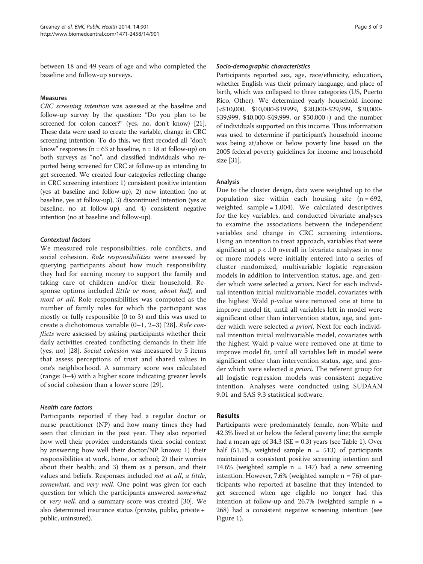between 18 and 49 years of age and who completed the baseline and follow-up surveys.

#### Measures

CRC screening intention was assessed at the baseline and follow-up survey by the question: "Do you plan to be screened for colon cancer?" (yes, no, don't know) [\[21](#page-8-0)]. These data were used to create the variable, change in CRC screening intention. To do this, we first recoded all "don't know" responses ( $n = 63$  at baseline,  $n = 18$  at follow-up) on both surveys as "no", and classified individuals who reported being screened for CRC at follow-up as intending to get screened. We created four categories reflecting change in CRC screening intention: 1) consistent positive intention (yes at baseline and follow-up), 2) new intention (no at baseline, yes at follow-up), 3) discontinued intention (yes at baseline, no at follow-up), and 4) consistent negative intention (no at baseline and follow-up).

#### Contextual factors

We measured role responsibilities, role conflicts, and social cohesion. Role responsibilities were assessed by querying participants about how much responsibility they had for earning money to support the family and taking care of children and/or their household. Response options included little or none, about half, and most or all. Role responsibilities was computed as the number of family roles for which the participant was mostly or fully responsible (0 to 3) and this was used to create a dichotomous variable (0–1, 2–3) [\[28](#page-8-0)]. Role conflicts were assessed by asking participants whether their daily activities created conflicting demands in their life (yes, no) [\[28](#page-8-0)]. Social cohesion was measured by 5 items that assess perceptions of trust and shared values in one's neighborhood. A summary score was calculated (range: 0–4) with a higher score indicating greater levels of social cohesion than a lower score [[29\]](#page-8-0).

#### Health care factors

Participants reported if they had a regular doctor or nurse practitioner (NP) and how many times they had seen that clinician in the past year. They also reported how well their provider understands their social context by answering how well their doctor/NP knows: 1) their responsibilities at work, home, or school; 2) their worries about their health; and 3) them as a person, and their values and beliefs. Responses included not at all, a little, somewhat, and very well. One point was given for each question for which the participants answered *somewhat* or very well, and a summary score was created [\[30](#page-8-0)]. We also determined insurance status (private, public, private + public, uninsured).

#### Socio-demographic characteristics

Participants reported sex, age, race/ethnicity, education, whether English was their primary language, and place of birth, which was collapsed to three categories (US, Puerto Rico, Other). We determined yearly household income (<\$10,000, \$10,000-\$19999, \$20,000-\$29,999, \$30,000- \$39,999, \$40,000-\$49,999, or \$50,000+) and the number of individuals supported on this income. Thus information was used to determine if participant's household income was being at/above or below poverty line based on the 2005 federal poverty guidelines for income and household size [\[31\]](#page-8-0).

#### Analysis

Due to the cluster design, data were weighted up to the population size within each housing site  $(n = 692,$ weighted sample = 1,004). We calculated descriptives for the key variables, and conducted bivariate analyses to examine the associations between the independent variables and change in CRC screening intentions. Using an intention to treat approach, variables that were significant at  $p < 0.10$  overall in bivariate analyses in one or more models were initially entered into a series of cluster randomized, multivariable logistic regression models in addition to intervention status, age, and gender which were selected *a priori*. Next for each individual intention initial multivariable model, covariates with the highest Wald p-value were removed one at time to improve model fit, until all variables left in model were significant other than intervention status, age, and gender which were selected *a priori*. Next for each individual intention initial multivariable model, covariates with the highest Wald p-value were removed one at time to improve model fit, until all variables left in model were significant other than intervention status, age, and gender which were selected a priori. The referent group for all logistic regression models was consistent negative intention. Analyses were conducted using SUDAAN 9.01 and SAS 9.3 statistical software.

## Results

Participants were predominately female, non-White and 42.3% lived at or below the federal poverty line; the sample had a mean age of  $34.3$  (SE = 0.3) years (see Table [1\)](#page-3-0). Over half  $(51.1\%$ , weighted sample  $n = 513$  of participants maintained a consistent positive screening intention and 14.6% (weighted sample  $n = 147$ ) had a new screening intention. However, 7.6% (weighted sample n = 76) of participants who reported at baseline that they intended to get screened when age eligible no longer had this intention at follow-up and  $26.7\%$  (weighted sample n = 268) had a consistent negative screening intention (see Figure [1](#page-4-0)).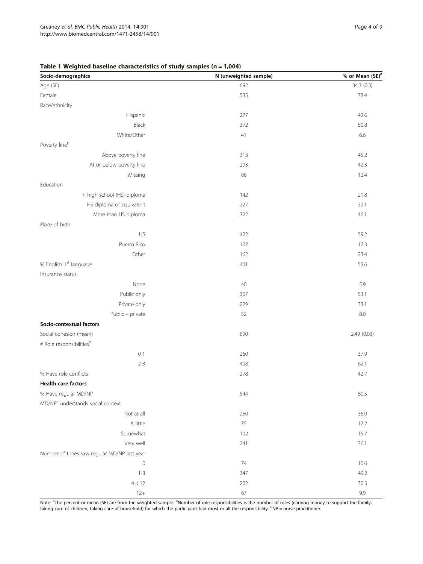#### <span id="page-3-0"></span>Table 1 Weighted baseline characteristics of study samples ( $n = 1,004$ )

| Socio-demographics                            | N (unweighted sample) | % or Mean (SE) <sup>a</sup> |
|-----------------------------------------------|-----------------------|-----------------------------|
| Age (SE)                                      | 692                   | 34.3 (0.3)                  |
| Female                                        | 535                   | 78.4                        |
| Race/ethnicity                                |                       |                             |
| Hispanic                                      | 277                   | 42.6                        |
| Black                                         | 372                   | 50.8                        |
| White/Other                                   | 41                    | 6.6                         |
| Poverty lineb                                 |                       |                             |
| Above poverty line                            | 313                   | 45.2                        |
| At or below poverty line                      | 293                   | 42.3                        |
| Missing                                       | 86                    | 12.4                        |
| Education                                     |                       |                             |
| < high school (HS) diploma                    | 142                   | 21.8                        |
| HS diploma or equivalent                      | 227                   | 32.1                        |
| More than HS diploma                          | 322                   | 46.1                        |
| Place of birth                                |                       |                             |
| US                                            | 422                   | 59.2                        |
| Puerto Rico                                   | 107                   | 17.3                        |
| Other                                         | 162                   | 23.4                        |
| % English 1 <sup>st</sup> language            | 401                   | 55.6                        |
| Insurance status                              |                       |                             |
| None                                          | 40                    | 5.9                         |
| Public only                                   | 367                   | 53.1                        |
| Private only                                  | 229                   | 33.1                        |
| Public + private                              | 52                    | 8.0                         |
| Socio-contextual factors                      |                       |                             |
| Social cohesion (mean)                        | 690                   | 2.49 (0.03)                 |
| # Role responsibilitiesb                      |                       |                             |
| $0 - 1$                                       | 260                   | 37.9                        |
| $2 - 3$                                       | 408                   | 62.1                        |
| % Have role conflicts                         | 278                   | 42.7                        |
| <b>Health care factors</b>                    |                       |                             |
| % Have regular MD/NP                          | 544                   | 80.5                        |
| MD/NP <sup>c</sup> understands social context |                       |                             |
| Not at all                                    | 250                   | 36.0                        |
| A little                                      | 75                    | 12.2                        |
| Somewhat                                      | 102                   | 15.7                        |
| Very well                                     | 241                   | 36.1                        |
| Number of times saw regular MD/NP last year   |                       |                             |
| $\circ$                                       | 74                    | 10.6                        |
| $1 - 3$                                       | 347                   | 49.2                        |
| $4 < 12$                                      | 202                   | 30.3                        |
| $12+$                                         | 67                    | 9.9                         |

Note: <sup>a</sup>The percent or mean (SE) are from the weighted sample. <sup>b</sup>Number of role responsibilities is the number of roles (earning money to support the family taking care of children, taking care of household) for which the participant had most or all the responsibility. <sup>C</sup>NP = nurse practitioner.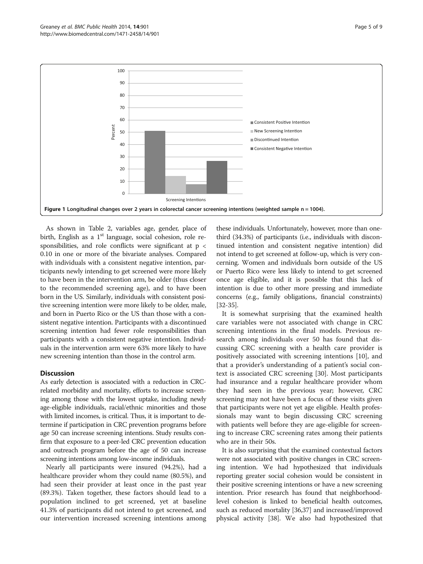<span id="page-4-0"></span>

As shown in Table [2](#page-5-0), variables age, gender, place of birth, English as a  $1<sup>st</sup>$  language, social cohesion, role responsibilities, and role conflicts were significant at p < 0.10 in one or more of the bivariate analyses. Compared with individuals with a consistent negative intention, participants newly intending to get screened were more likely to have been in the intervention arm, be older (thus closer to the recommended screening age), and to have been born in the US. Similarly, individuals with consistent positive screening intention were more likely to be older, male, and born in Puerto Rico or the US than those with a consistent negative intention. Participants with a discontinued screening intention had fewer role responsibilities than participants with a consistent negative intention. Individuals in the intervention arm were 63% more likely to have new screening intention than those in the control arm.

## **Discussion**

As early detection is associated with a reduction in CRCrelated morbidity and mortality, efforts to increase screening among those with the lowest uptake, including newly age-eligible individuals, racial/ethnic minorities and those with limited incomes, is critical. Thus, it is important to determine if participation in CRC prevention programs before age 50 can increase screening intentions. Study results confirm that exposure to a peer-led CRC prevention education and outreach program before the age of 50 can increase screening intentions among low-income individuals.

Nearly all participants were insured (94.2%), had a healthcare provider whom they could name (80.5%), and had seen their provider at least once in the past year (89.3%). Taken together, these factors should lead to a population inclined to get screened, yet at baseline 41.3% of participants did not intend to get screened, and our intervention increased screening intentions among

these individuals. Unfortunately, however, more than onethird (34.3%) of participants (i.e., individuals with discontinued intention and consistent negative intention) did not intend to get screened at follow-up, which is very concerning. Women and individuals born outside of the US or Puerto Rico were less likely to intend to get screened once age eligible, and it is possible that this lack of intention is due to other more pressing and immediate concerns (e.g., family obligations, financial constraints) [[32](#page-8-0)-[35\]](#page-8-0).

It is somewhat surprising that the examined health care variables were not associated with change in CRC screening intentions in the final models. Previous research among individuals over 50 has found that discussing CRC screening with a health care provider is positively associated with screening intentions [[10](#page-8-0)], and that a provider's understanding of a patient's social context is associated CRC screening [\[30\]](#page-8-0). Most participants had insurance and a regular healthcare provider whom they had seen in the previous year; however, CRC screening may not have been a focus of these visits given that participants were not yet age eligible. Health professionals may want to begin discussing CRC screening with patients well before they are age-eligible for screening to increase CRC screening rates among their patients who are in their 50s.

It is also surprising that the examined contextual factors were not associated with positive changes in CRC screening intention. We had hypothesized that individuals reporting greater social cohesion would be consistent in their positive screening intentions or have a new screening intention. Prior research has found that neighborhoodlevel cohesion is linked to beneficial health outcomes, such as reduced mortality [\[36,37\]](#page-8-0) and increased/improved physical activity [[38](#page-8-0)]. We also had hypothesized that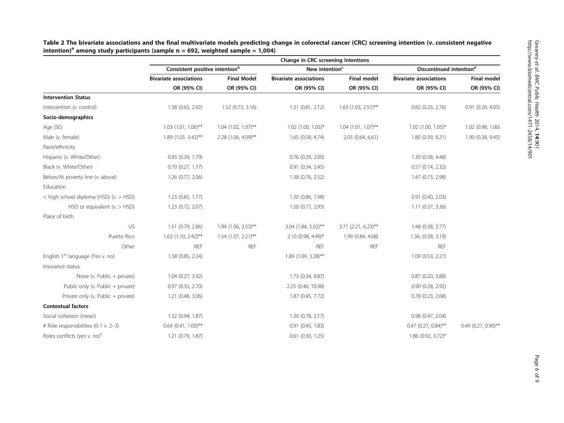|                                              | Change in CRC screening Intentions |                                            |                               |                            |                                     |                       |
|----------------------------------------------|------------------------------------|--------------------------------------------|-------------------------------|----------------------------|-------------------------------------|-----------------------|
|                                              |                                    | Consistent positive intention <sup>b</sup> |                               | New intention <sup>c</sup> | Discontinued intention <sup>d</sup> |                       |
|                                              | <b>Bivariate associations</b>      | <b>Final Model</b>                         | <b>Bivariate associations</b> | <b>Final model</b>         | <b>Bivariate associations</b>       | <b>Final model</b>    |
|                                              | OR (95% CI)                        | OR (95% CI)                                | OR (95% CI)                   | OR (95% CI)                | OR (95% CI)                         | OR (95% CI)           |
| <b>Intervention Status</b>                   |                                    |                                            |                               |                            |                                     |                       |
| Intervention (v. control)                    | 1.38 (0.65, 2.92)                  | 1.52(0.73, 3.16)                           | 1.31(0.81, 2.12)              | $1.63$ (1.03, 2.57)**      | $0.82$ $(0.25, 2.76)$               | $0.91$ (0.20, 4.05)   |
| Socio-demographics                           |                                    |                                            |                               |                            |                                     |                       |
| Age (SE)                                     | $1.03$ (1.01, 1.06)**              | $1.04$ (1.02, 1.07)**                      | $1.02$ (1.00, 1.05)*          | $1.04$ (1.01, 1.07)**      | $1.02$ (1.00, 1.05)*                | 1.02 (0.98, 1.06)     |
| Male (v. female)                             | $1.89$ (1.05. 3.43)**              | 2.28 (1.06, 4.09)**                        | $1.65$ (0.58, 4.74)           | 2.05 (0.64, 6.61)          | 1.80 (0.39, 8.21)                   | 1.90 (0.38, 9.45)     |
| Race/ethnicity                               |                                    |                                            |                               |                            |                                     |                       |
| Hispanic (v. White/Other)                    | $0.83$ $(0.39, 1.79)$              |                                            | $0.76$ $(0.29, 2.00)$         |                            | 1.30 (0.38, 4.48)                   |                       |
| Black (v. White/Other)                       | 0.70(0.27, 1.77)                   |                                            | 0.91(0.34, 2.45)              |                            | 0.57(0.14, 2.32)                    |                       |
| Below/At poverty line (v. above)             | 1.26 (0.77, 2.06)                  |                                            | 1.38 (0.76, 2.52)             |                            | 1.47 (0.73, 2.98)                   |                       |
| Education                                    |                                    |                                            |                               |                            |                                     |                       |
| < high school diploma (HSD) (v. > HSD)       | 1.23 (0.85, 1.77)                  |                                            | 1.30 (0.86, 1.98)             |                            | $0.91$ $(0.40, 2.03)$               |                       |
| HSD or equivalent ( $v. >$ HSD)              | 1.23 (0.72, 2.07)                  |                                            | 1.50 (0.77, 2.93)             |                            | 1.11(0.37, 3.36)                    |                       |
| Place of birth                               |                                    |                                            |                               |                            |                                     |                       |
| US                                           | 1.51 (0.79, 2.86)                  | 1.94 (1.06, 3.53)**                        | 3.04 (1.84, 5.02)**           | $3.71$ (2.21, 6.23)**      | 1.48 (0.58, 3.77)                   |                       |
| Puerto Rico                                  | $1.63$ (1.10, 2.42)**              | 1.54 (1.07, 2.21)**                        | 2.10 (0.98, 4.49)*            | 1.99 (0.84, 4.68)          | 1.36, (0.58, 3.19)                  |                       |
| Other                                        | <b>REF</b>                         | <b>REF</b>                                 | <b>REF</b>                    | <b>REF</b>                 | <b>REF</b>                          |                       |
| English 1 <sup>st</sup> language (Yes v. no) | 1.38 (0.85, 2.24)                  |                                            | 1.89 (1.09, 3.28)**           |                            | 1.09 (0.53, 2.27)                   |                       |
| Insurance status                             |                                    |                                            |                               |                            |                                     |                       |
| None (v. Public + private)                   | 1.04 (0.27, 3.92)                  |                                            | 1.73 (0.34, 8.87)             |                            | $0.87$ (0.20, 3.88)                 |                       |
| Public only (v. Public + private)            | 0.97 (0.35, 2.70)                  |                                            | 2.25 (0.46, 10.90)            |                            | 0.90(0.28, 2.92)                    |                       |
| Private only (v. Public + private)           | 1.21 (0.48, 3.06)                  |                                            | 1.87 (0.45, 7.72)             |                            | $0.78$ $(0.23, 2.68)$               |                       |
| <b>Contextual factors</b>                    |                                    |                                            |                               |                            |                                     |                       |
| Social cohesion (mean)                       | 1.32 (0.94, 1.87)                  |                                            | 1.30 (0.78, 2.17)             |                            | 0.98(0.47, 2.04)                    |                       |
| # Role responsibilities (0-1 v. 2-3)         | $0.64$ (0.41, 1.00)**              |                                            | $0.91$ $(0.45, 1.83)$         |                            | $0.47$ (0.27, 0.84)**               | $0.49$ (0.27, 0.90)** |
| Roles conflicts (yes v. no) <sup>e</sup>     | 1.21 (0.79, 1.87)                  |                                            | $0.61$ $(0.30, 1.25)$         |                            | 1.86 (0.92, 3.72)*                  |                       |

<span id="page-5-0"></span>Table 2 The bivariate associations and the final multivariate models predicting change in colorectal cancer (CRC) screening intention (v. consistent negative intention)<sup>a</sup> among study participants (sample n = 692, weighted sample = 1,004)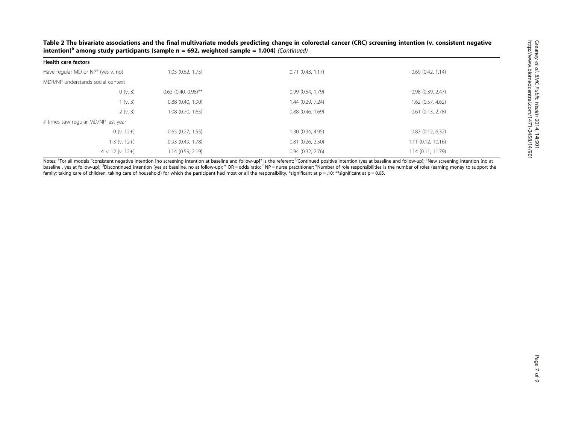| intention) <sup>a</sup> among study participants (sample $n = 692$ , weighted sample = 1,004) (Continued) |                       |                   |                       |  |  |
|-----------------------------------------------------------------------------------------------------------|-----------------------|-------------------|-----------------------|--|--|
| <b>Health care factors</b>                                                                                |                       |                   |                       |  |  |
| Have regular MD or $NP^e$ (yes v. no)                                                                     | 1.05(0.62, 1.75)      | 0.71(0.43, 1.17)  | 0.69(0.42, 1.14)      |  |  |
| MDR/NP understands social context                                                                         |                       |                   |                       |  |  |
| 0 (v. 3)                                                                                                  | $0.63$ (0.40, 0.98)** | 0.99(0.54, 1.79)  | 0.98(0.39, 2.47)      |  |  |
| 1 (v. 3)                                                                                                  | 0.88(0.40, 1.90)      | 1.44 (0.29, 7.24) | 1.62(0.57, 4.62)      |  |  |
| 2 (v. 3)                                                                                                  | 1.08(0.70, 1.65)      | 0.88(0.46.1.69)   | $0.61$ $(0.13, 2.78)$ |  |  |
| # times saw regular MD/NP last year                                                                       |                       |                   |                       |  |  |
| $0 (v. 12+)$                                                                                              | 0.65(0.27, 1.55)      | 1.30 (0.34, 4.95) | 0.87(0.12, 6.32)      |  |  |
| $1-3$ (v. $12+$ )                                                                                         | 0.93(0.49, 1.78)      | 0.81(0.26, 2.50)  | 1.11(0.12, 10.16)     |  |  |
| $4 < 12$ (v. 12+)                                                                                         | 1.14(0.59, 2.19)      | 0.94(0.32, 2.76)  | 1.14 (0.11, 11.79)    |  |  |

Table 2 The bivariate associations and the final multivariate models predicting change in colorectal cancer (CRC) screening intention (v. consistent negative

Notes: <sup>a</sup>For all models "consistent negative intention [no screening intention at baseline and follow-up]" is the referent; <sup>b</sup>Continued positive intention (yes at baseline and follow-up); <sup>c</sup>New screening intention (no a baseline , yes at follow-up); <sup>d</sup>Discontinued intention (yes at baseline, no at follow-up); <sup>e</sup> OR = odds ratio; <sup>f</sup> NP = nurse practitioner; <sup>e</sup>Number of role responsibilities is the number of roles (earning money to supp family; taking care of children, taking care of household) for which the participant had most or all the responsibility. \*significant at  $p = 10$ ; \*\*significant at  $p = 0.05$ .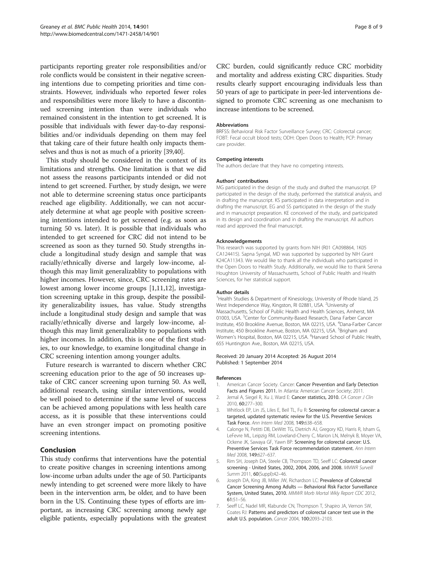<span id="page-7-0"></span>participants reporting greater role responsibilities and/or role conflicts would be consistent in their negative screening intentions due to competing priorities and time constraints. However, individuals who reported fewer roles and responsibilities were more likely to have a discontinued screening intention than were individuals who remained consistent in the intention to get screened. It is possible that individuals with fewer day-to-day responsibilities and/or individuals depending on them may feel that taking care of their future health only impacts themselves and thus is not as much of a priority [\[39,40\]](#page-8-0).

This study should be considered in the context of its limitations and strengths. One limitation is that we did not assess the reasons participants intended or did not intend to get screened. Further, by study design, we were not able to determine screening status once participants reached age eligibility. Additionally, we can not accurately determine at what age people with positive screening intentions intended to get screened (e.g. as soon as turning 50 vs. later). It is possible that individuals who intended to get screened for CRC did not intend to be screened as soon as they turned 50. Study strengths include a longitudinal study design and sample that was racially/ethnically diverse and largely low-income, although this may limit generalizablity to populations with higher incomes. However, since, CRC screening rates are lowest among lower income groups [1[,11,12](#page-8-0)], investigation screening uptake in this group, despite the possibility generalizability issues, has value. Study strengths include a longitudinal study design and sample that was racially/ethnically diverse and largely low-income, although this may limit generalizablity to populations with higher incomes. In addition, this is one of the first studies, to our knowledge, to examine longitudinal change in CRC screening intention among younger adults.

Future research is warranted to discern whether CRC screening education prior to the age of 50 increases uptake of CRC cancer screening upon turning 50. As well, additional research, using similar interventions, would be well poised to determine if the same level of success can be achieved among populations with less health care access, as it is possible that these interventions could have an even stronger impact on promoting positive screening intentions.

## Conclusion

This study confirms that interventions have the potential to create positive changes in screening intentions among low-income urban adults under the age of 50. Participants newly intending to get screened were more likely to have been in the intervention arm, be older, and to have been born in the US. Continuing these types of efforts are important, as increasing CRC screening among newly age eligible patients, especially populations with the greatest CRC burden, could significantly reduce CRC morbidity and mortality and address existing CRC disparities. Study results clearly support encouraging individuals less than 50 years of age to participate in peer-led interventions designed to promote CRC screening as one mechanism to increase intentions to be screened.

#### **Abbreviations**

BRFSS: Behavioral Risk Factor Surveillance Survey; CRC: Colorectal cancer; FOBT: Fecal occult blood tests; ODH: Open Doors to Health; PCP: Primary care provider.

#### Competing interests

The authors declare that they have no competing interests.

#### Authors' contributions

MG participated in the design of the study and drafted the manuscript. EP participated in the design of the study, performed the statistical analysis, and in drafting the manuscript. KS participated in data interpretation and in drafting the manuscript. EG and SS participated in the design of the study and in manuscript preparation. KE conceived of the study, and participated in its design and coordination and in drafting the manuscript. All authors read and approved the final manuscript.

#### Acknowledgements

This research was supported by grants from NIH (R01 CA098864, 1K05 CA124415). Sapna Syngal, MD was supported by supported by NIH Grant K24CA11343. We would like to thank all the individuals who participated in the Open Doors to Health Study. Additionally, we would like to thank Serena Houghton University of Massachusetts, School of Public Health and Health Sciences, for her statistical support.

#### Author details

<sup>1</sup> Health Studies & Department of Kinesiology, University of Rhode Island, 25 West Independence Way, Kingston, RI 02881, USA. <sup>2</sup>University of Massachusetts, School of Public Health and Health Sciences, Amherst, MA 01003, USA. <sup>3</sup>Center for Community-Based Research, Dana Farber Cancer Institute, 450 Brookline Avenue, Boston, MA 02215, USA. <sup>4</sup> Dana-Farber Cancer Institute, 450 Brookline Avenue, Boston, MA 02215, USA. <sup>5</sup>Brigham and Women's Hospital, Boston, MA 02215, USA. <sup>6</sup>Harvard School of Public Health 655 Huntington Ave., Boston, MA 02215, USA.

#### Received: 20 January 2014 Accepted: 26 August 2014 Published: 1 September 2014

#### References

- 1. American Cancer Society. Cancer: Cancer Prevention and Early Detection Facts and Figures 2011. In Atlanta: American Cancer Society; 2011.
- 2. Jemal A, Siegel R, Xu J, Ward E: Cancer statistics, 2010. CA Cancer J Clin 2010, 60:277–300.
- 3. Whitlock EP, Lin JS, Liles E, Beil TL, Fu R: Screening for colorectal cancer: a targeted, updated systematic review for the U.S. Preventive Services Task Force. Ann Intern Med 2008, 149:638–658.
- 4. Calonge N, Petitti DB, DeWitt TG, Dietrich AJ, Gregory KD, Harris R, Isham G, LeFevre ML, Leipzig RM, Loveland-Cherry C, Marion LN, Melnyk B, Moyer VA, Ockene JK, Sawaya GF, Yawn BP: Screening for colorectal cancer: U.S. Preventive Services Task Force recommendation statement. Ann Intern Med 2008, 149:627–637.
- 5. Rim SH, Joseph DA, Steele CB, Thompson TD, Seeff LC: Colorectal cancer screening - United States, 2002, 2004, 2006, and 2008. MMWR Surveill Summ 2011, 60(Suppl):42–46.
- Joseph DA, King JB, Miller JW, Richardson LC: Prevalence of Colorectal Cancer Screening Among Adults — Behavioral Risk Factor Surveillance System, United States, 2010. MMWR Morb Mortal Wkly Report CDC 2012, 61:51–56.
- 7. Seeff LC, Nadel MR, Klabunde CN, Thompson T, Shapiro JA, Vernon SW, Coates RJ: Patterns and predictors of colorectal cancer test use in the adult U.S. population. Cancer 2004, 100:2093–2103.